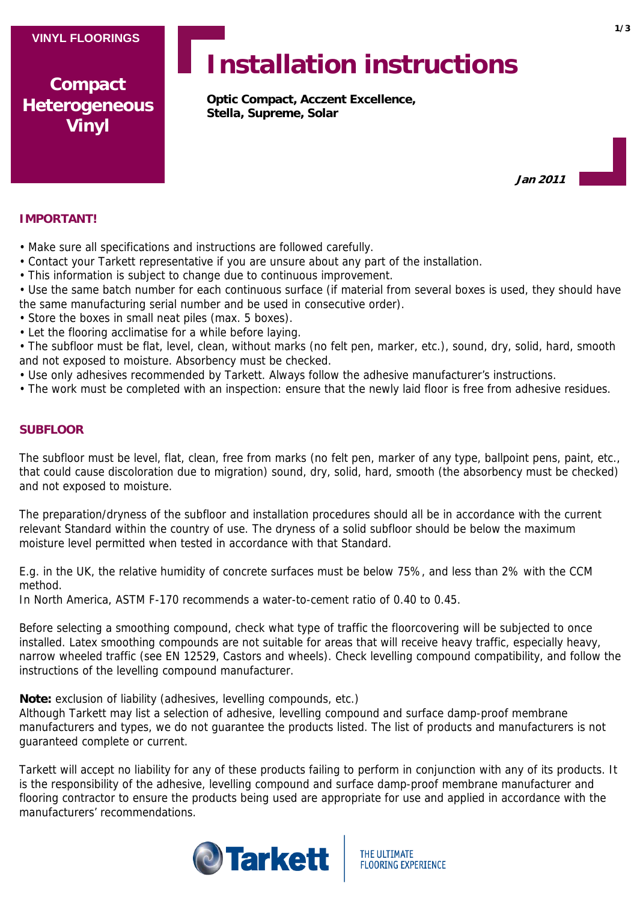**Compact Heterogeneous Vinyl**

# **Installation instructions**

**Optic Compact, Acczent Excellence, Stella, Supreme, Solar**

**Jan 2011**

## **IMPORTANT!**

- Make sure all specifications and instructions are followed carefully.
- Contact your Tarkett representative if you are unsure about any part of the installation.
- This information is subject to change due to continuous improvement.
- Use the same batch number for each continuous surface (if material from several boxes is used, they should have the same manufacturing serial number and be used in consecutive order).
- Store the boxes in small neat piles (max. 5 boxes).
- Let the flooring acclimatise for a while before laying.
- The subfloor must be flat, level, clean, without marks (no felt pen, marker, etc.), sound, dry, solid, hard, smooth and not exposed to moisture. Absorbency must be checked.
- Use only adhesives recommended by Tarkett. Always follow the adhesive manufacturer's instructions.
- The work must be completed with an inspection: ensure that the newly laid floor is free from adhesive residues.

# **SUBFLOOR**

The subfloor must be level, flat, clean, free from marks (no felt pen, marker of any type, ballpoint pens, paint, etc., that could cause discoloration due to migration) sound, dry, solid, hard, smooth (the absorbency must be checked) and not exposed to moisture.

The preparation/dryness of the subfloor and installation procedures should all be in accordance with the current relevant Standard within the country of use. The dryness of a solid subfloor should be below the maximum moisture level permitted when tested in accordance with that Standard.

E.g. in the UK, the relative humidity of concrete surfaces must be below 75%, and less than 2% with the CCM method.

In North America, ASTM F-170 recommends a water-to-cement ratio of 0.40 to 0.45.

Before selecting a smoothing compound, check what type of traffic the floorcovering will be subjected to once installed. Latex smoothing compounds are not suitable for areas that will receive heavy traffic, especially heavy, narrow wheeled traffic (see EN 12529, Castors and wheels). Check levelling compound compatibility, and follow the instructions of the levelling compound manufacturer.

**Note:** exclusion of liability (adhesives, levelling compounds, etc.)

Although Tarkett may list a selection of adhesive, levelling compound and surface damp-proof membrane manufacturers and types, we do not guarantee the products listed. The list of products and manufacturers is not guaranteed complete or current.

Tarkett will accept no liability for any of these products failing to perform in conjunction with any of its products. It is the responsibility of the adhesive, levelling compound and surface damp-proof membrane manufacturer and flooring contractor to ensure the products being used are appropriate for use and applied in accordance with the manufacturers' recommendations.

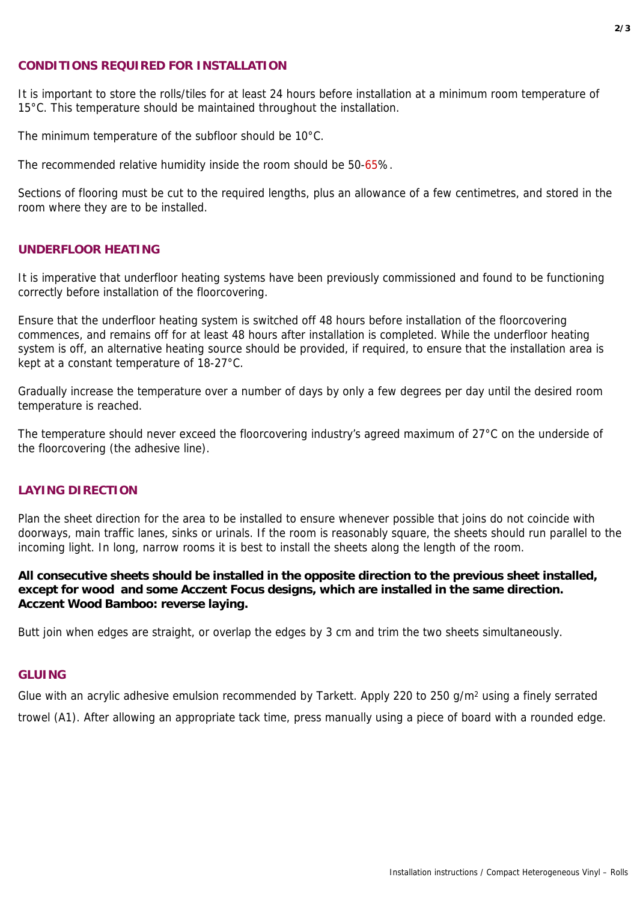#### **CONDITIONS REQUIRED FOR INSTALLATION**

It is important to store the rolls/tiles for at least 24 hours before installation at a minimum room temperature of 15°C. This temperature should be maintained throughout the installation.

The minimum temperature of the subfloor should be 10°C.

The recommended relative humidity inside the room should be 50-65%.

Sections of flooring must be cut to the required lengths, plus an allowance of a few centimetres, and stored in the room where they are to be installed.

## **UNDERFLOOR HEATING**

It is imperative that underfloor heating systems have been previously commissioned and found to be functioning correctly before installation of the floorcovering.

Ensure that the underfloor heating system is switched off 48 hours before installation of the floorcovering commences, and remains off for at least 48 hours after installation is completed. While the underfloor heating system is off, an alternative heating source should be provided, if required, to ensure that the installation area is kept at a constant temperature of 18-27°C.

Gradually increase the temperature over a number of days by only a few degrees per day until the desired room temperature is reached.

The temperature should never exceed the floorcovering industry's agreed maximum of 27°C on the underside of the floorcovering (the adhesive line).

#### **LAYING DIRECTION**

Plan the sheet direction for the area to be installed to ensure whenever possible that joins do not coincide with doorways, main traffic lanes, sinks or urinals. If the room is reasonably square, the sheets should run parallel to the incoming light. In long, narrow rooms it is best to install the sheets along the length of the room.

**All consecutive sheets should be installed in the opposite direction to the previous sheet installed, except for wood and some Acczent Focus designs, which are installed in the same direction. Acczent Wood Bamboo: reverse laying.**

Butt join when edges are straight, or overlap the edges by 3 cm and trim the two sheets simultaneously.

## **GLUING**

Glue with an acrylic adhesive emulsion recommended by Tarkett. Apply 220 to 250 g/m<sup>2</sup> using a finely serrated trowel (A1). After allowing an appropriate tack time, press manually using a piece of board with a rounded edge.